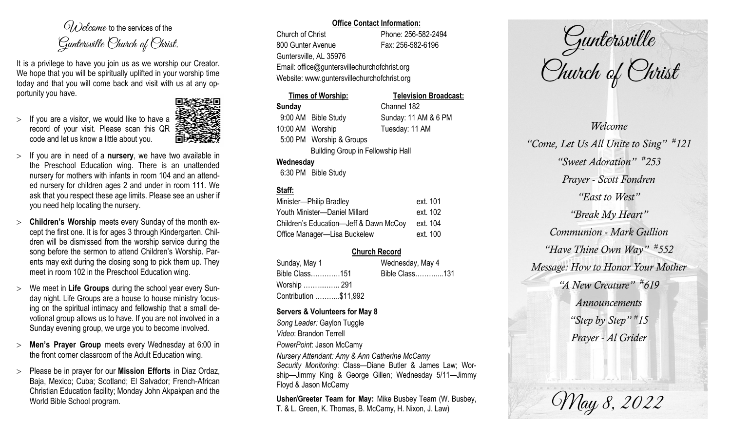$O(\lambda)$  elcame to the services of the Guntersville Church of Christ.

It is a privilege to have you join us as we worship our Creator. We hope that you will be spiritually uplifted in your worship time today and that you will come back and visit with us at any opportunity you have.

 $>$  If you are a visitor, we would like to have a record of your visit. Please scan this QR code and let us know a little about you.



- If you are in need of a **nursery**, we have two available in the Preschool Education wing. There is an unattended nursery for mothers with infants in room 104 and an attended nursery for children ages 2 and under in room 111. We ask that you respect these age limits. Please see an usher if you need help locating the nursery.
- **Children's Worship** meets every Sunday of the month except the first one. It is for ages 3 through Kindergarten. Children will be dismissed from the worship service during the song before the sermon to attend Children's Worship. Parents may exit during the closing song to pick them up. They meet in room 102 in the Preschool Education wing.
- We meet in **Life Groups** during the school year every Sunday night. Life Groups are a house to house ministry focusing on the spiritual intimacy and fellowship that a small devotional group allows us to have. If you are not involved in a Sunday evening group, we urge you to become involved.
- **Men's Prayer Group** meets every Wednesday at 6:00 in the front corner classroom of the Adult Education wing.
- Please be in prayer for our **Mission Efforts** in Diaz Ordaz, Baja, Mexico; Cuba; Scotland; El Salvador; French-African Christian Education facility; Monday John Akpakpan and the World Bible School program.

### **Office Contact Information:**

Church of Christ Phone: 256-582-2494 800 Gunter Avenue Fax: 256-582-6196 Guntersville, AL 35976 Email: office@guntersvillechurchofchrist.org Website: www.guntersvillechurchofchrist.org

# **Times of Worship: Television Broadcast: Sunday** Channel 182 9:00 AM Bible Study Sunday: 11 AM & 6 PM 10:00 AM Worship Tuesday: 11 AM 5:00 PM Worship & Groups

Building Group in Fellowship Hall

## **Wednesday**

6:30 PM Bible Study

## **Staff:**

| Minister-Philip Bradley                | ext. 101 |
|----------------------------------------|----------|
| Youth Minister-Daniel Millard          | ext. 102 |
| Children's Education-Jeff & Dawn McCoy | ext. 104 |
| Office Manager-Lisa Buckelew           | ext. 100 |

## **Church Record**

| Sunday, May 1         | Wednesday, May 4 |  |
|-----------------------|------------------|--|
| Bible Class151        | Bible Class131   |  |
| Worship  291          |                  |  |
| Contribution \$11,992 |                  |  |

### **Servers & Volunteers for May 8**

*Song Leader:* Gaylon Tuggle *Video*: Brandon Terrell *PowerPoint*: Jason McCamy

*Nursery Attendant: Amy & Ann Catherine McCamy Security Monitoring*: Class—Diane Butler & James Law; Worship—Jimmy King & George Gillen; Wednesday 5/11—Jimmy Floyd & Jason McCamy

**Usher/Greeter Team for May:** Mike Busbey Team (W. Busbey, T. & L. Green, K. Thomas, B. McCamy, H. Nixon, J. Law)

Guntersville Church of Christ

*Welcome "Come, Let Us All Unite to Sing" # 121 "Sweet Adoration" # 253 Prayer - Scott Fondren "East to West" "Break My Heart" Communion - Mark Gullion "Have Thine Own Way" # 552 Message: How to Honor Your Mother "A New Creature" # 619 Announcements "Step by Step" # 15 Prayer - Al Grider*

May 8, 2022